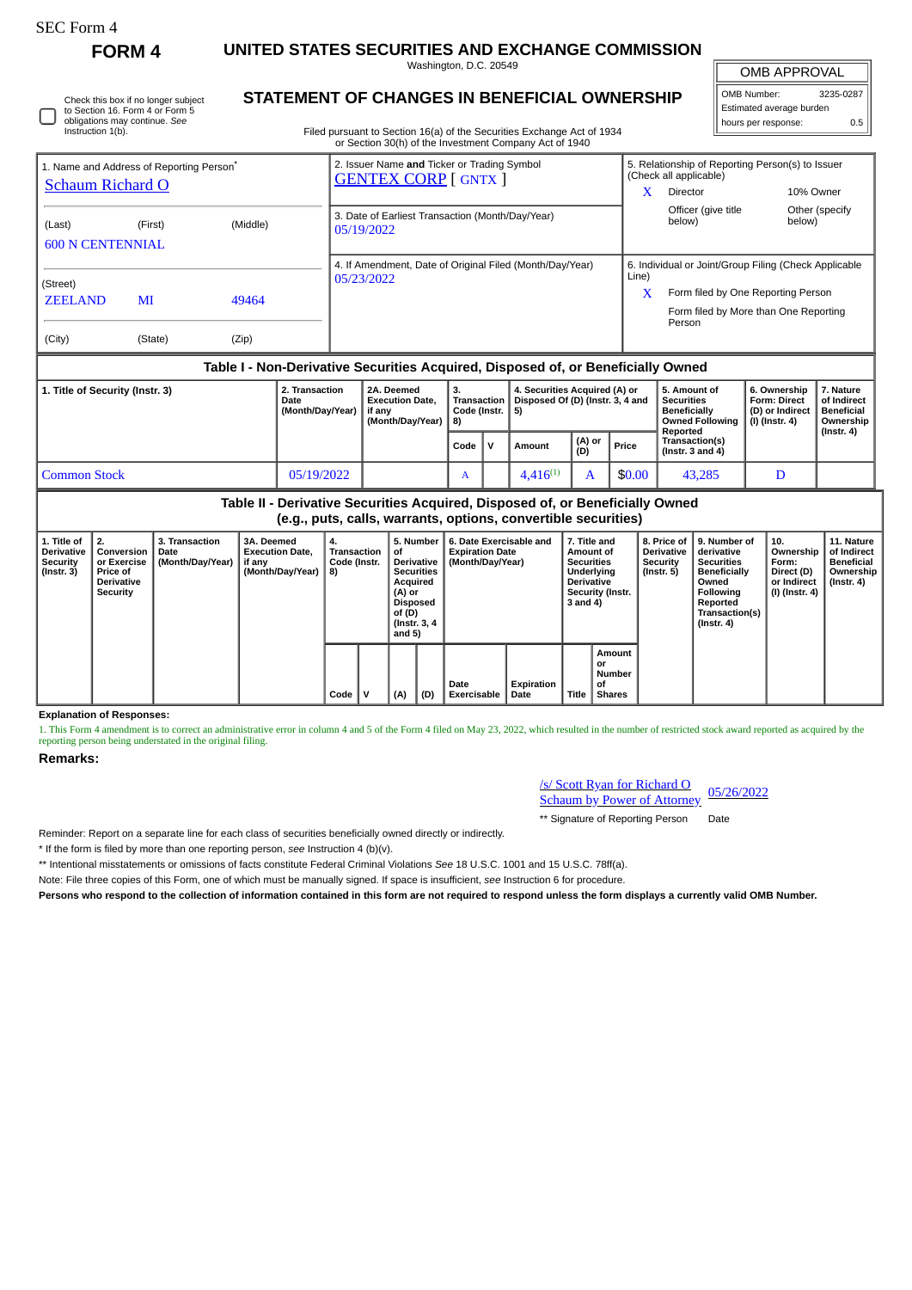## SEC Form 4

**FORM 4 UNITED STATES SECURITIES AND EXCHANGE COMMISSION** Washington, D.C. 20549

| <b>OMB APPROVAL</b>        |  |  |  |  |  |  |  |  |  |
|----------------------------|--|--|--|--|--|--|--|--|--|
| 3235-0287<br>OMB Number:   |  |  |  |  |  |  |  |  |  |
| Estimated average burden   |  |  |  |  |  |  |  |  |  |
| 0.5<br>hours per response: |  |  |  |  |  |  |  |  |  |

Check this box if no longer subject to Section 16. Form 4 or Form 5 obligations may continue. *See* Instruction 1(b).

## **STATEMENT OF CHANGES IN BENEFICIAL OWNERSHIP**

Filed pursuant to Section 16(a) of the Securities Exchange Act of 1934 or Section 30(h) of the Investment Company Act of 1940

| 1. Name and Address of Reporting Person <sup>®</sup><br><b>Schaum Richard O</b>  |               |                                            |                                                                    | 2. Issuer Name and Ticker or Trading Symbol<br><b>GENTEX CORP [ GNTX ]</b> |      |                                                                         |               | X             | 5. Relationship of Reporting Person(s) to Issuer<br>(Check all applicable)<br>Director         | 10% Owner                                                                                                                                                    |                                                                                |                |  |
|----------------------------------------------------------------------------------|---------------|--------------------------------------------|--------------------------------------------------------------------|----------------------------------------------------------------------------|------|-------------------------------------------------------------------------|---------------|---------------|------------------------------------------------------------------------------------------------|--------------------------------------------------------------------------------------------------------------------------------------------------------------|--------------------------------------------------------------------------------|----------------|--|
| (Last)<br><b>600 N CENTENNIAL</b>                                                | (First)       | (Middle)                                   |                                                                    | 3. Date of Earliest Transaction (Month/Day/Year)<br>05/19/2022             |      |                                                                         |               |               |                                                                                                | Officer (give title<br>below)                                                                                                                                | below)                                                                         | Other (specify |  |
| (Street)<br><b>ZEELAND</b><br>(City)                                             | MI<br>(State) | 49464<br>(Zip)                             |                                                                    | 4. If Amendment, Date of Original Filed (Month/Day/Year)<br>05/23/2022     |      |                                                                         |               |               |                                                                                                | 6. Individual or Joint/Group Filing (Check Applicable<br>Line)<br>X<br>Form filed by One Reporting Person<br>Form filed by More than One Reporting<br>Person |                                                                                |                |  |
| Table I - Non-Derivative Securities Acquired, Disposed of, or Beneficially Owned |               |                                            |                                                                    |                                                                            |      |                                                                         |               |               |                                                                                                |                                                                                                                                                              |                                                                                |                |  |
| 1. Title of Security (Instr. 3)                                                  |               | 2. Transaction<br>Date<br>(Month/Day/Year) | 2A. Deemed<br><b>Execution Date.</b><br>if anv<br>(Month/Day/Year) | 3.<br><b>Transaction</b><br>Code (Instr.<br>8)                             |      | 4. Securities Acquired (A) or<br>Disposed Of (D) (Instr. 3, 4 and<br>5) |               |               | 5. Amount of<br><b>Securities</b><br><b>Beneficially</b><br><b>Owned Following</b><br>Reported | 6. Ownership<br><b>Form: Direct</b><br>(D) or Indirect<br>(I) (Instr. 4)                                                                                     | 7. Nature<br>of Indirect<br><b>Beneficial</b><br>Ownership<br>$($ Instr. 4 $)$ |                |  |
|                                                                                  |               |                                            |                                                                    |                                                                            | Code | v                                                                       | Amount        | (A) or<br>(D) | Price                                                                                          | Transaction(s)<br>(Instr. $3$ and $4$ )                                                                                                                      |                                                                                |                |  |
| <b>Common Stock</b>                                                              |               |                                            | 05/19/2022                                                         |                                                                            | A    |                                                                         | $4,416^{(1)}$ | A             | \$0.00                                                                                         | 43,285                                                                                                                                                       | D                                                                              |                |  |

**Table II - Derivative Securities Acquired, Disposed of, or Beneficially Owned (e.g., puts, calls, warrants, options, convertible securities)**

| 1. Title of<br><b>Derivative</b><br><b>Security</b><br>$($ Instr. 3 $)$ | 2.<br>Conversion<br>or Exercise<br><b>Price of</b><br><b>Derivative</b><br>Security | <b>3. Transaction</b><br>Date<br>(Month/Day/Year) | 3A. Deemed<br><b>Execution Date.</b><br>if any<br>(Month/Day/Year) | 4.<br><b>Transaction</b><br>Code (Instr.<br>8) |   | 5. Number<br>οf<br>Derivative  <br><b>Securities</b><br>Acquired<br>(A) or<br><b>Disposed</b><br>of (D)<br>(Instr. 3, 4)<br>and $5)$ |     | 6. Date Exercisable and<br><b>Expiration Date</b><br>(Month/Day/Year) | 7. Title and<br>Amount of<br><b>Securities</b><br>Underlying<br><b>Derivative</b><br>Security (Instr.<br>3 and 4) |       | 8. Price of<br><b>Derivative</b><br>Security<br>(Instr. 5) | 9. Number of<br>derivative<br><b>Securities</b><br><b>Beneficially</b><br>Owned<br><b>Following</b><br>Reported<br>Transaction(s)<br>$($ Instr. 4 $)$ | 10.<br>Ownership<br>Form:<br>Direct (D)<br>or Indirect<br>(I) (Instr. 4) | 11. Nature<br>of Indirect<br><b>Beneficial</b><br>Ownership<br>(Instr. 4) |  |
|-------------------------------------------------------------------------|-------------------------------------------------------------------------------------|---------------------------------------------------|--------------------------------------------------------------------|------------------------------------------------|---|--------------------------------------------------------------------------------------------------------------------------------------|-----|-----------------------------------------------------------------------|-------------------------------------------------------------------------------------------------------------------|-------|------------------------------------------------------------|-------------------------------------------------------------------------------------------------------------------------------------------------------|--------------------------------------------------------------------------|---------------------------------------------------------------------------|--|
|                                                                         |                                                                                     |                                                   |                                                                    | Code                                           | v | (A)                                                                                                                                  | (D) | Date<br><b>Exercisable</b>                                            | Expiration<br>Date                                                                                                | Title | Amount<br>or<br>Number<br>οf<br><b>Shares</b>              |                                                                                                                                                       |                                                                          |                                                                           |  |

**Explanation of Responses:**

1. This Form 4 amendment is to correct an administrative error in column 4 and 5 of the Form 4 filed on May 23, 2022, which resulted in the number of restricted stock award reported as acquired by the reporting person being understated in the original filing.

## **Remarks:**

/s/ Scott Ryan for Richard O Schaum by Power of Attorney 05/26/2022

\*\* Signature of Reporting Person Date

Reminder: Report on a separate line for each class of securities beneficially owned directly or indirectly.

\* If the form is filed by more than one reporting person, *see* Instruction 4 (b)(v).

\*\* Intentional misstatements or omissions of facts constitute Federal Criminal Violations *See* 18 U.S.C. 1001 and 15 U.S.C. 78ff(a).

Note: File three copies of this Form, one of which must be manually signed. If space is insufficient, *see* Instruction 6 for procedure.

**Persons who respond to the collection of information contained in this form are not required to respond unless the form displays a currently valid OMB Number.**